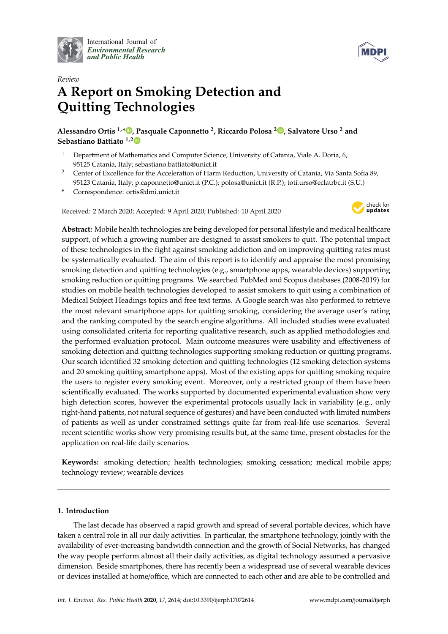

International Journal of *[Environmental Research](http://www.mdpi.com/journal/ijerph) and Public Health*



# *Review* **A Report on Smoking Detection and Quitting Technologies**

**Alessandro Ortis 1,\* [,](https://orcid.org/0000-0003-3461-4679) Pasquale Caponnetto <sup>2</sup> , Riccardo Polosa <sup>2</sup> [,](https://orcid.org/0000-0002-8450-5721) Salvatore Urso <sup>2</sup> and Sebastiano Battiato 1,[2](https://orcid.org/0000-0001-6127-2470)**

- <sup>1</sup> Department of Mathematics and Computer Science, University of Catania, Viale A. Doria, 6, 95125 Catania, Italy; sebastiano.battiato@unict.it
- <sup>2</sup> Center of Excellence for the Acceleration of Harm Reduction, University of Catania, Via Santa Sofia 89, 95123 Catania, Italy; p.caponnetto@unict.it (P.C.); polosa@unict.it (R.P.); toti.urso@eclatrbc.it (S.U.)
- **\*** Correspondence: ortis@dmi.unict.it

Received: 2 March 2020; Accepted: 9 April 2020; Published: 10 April 2020



**Abstract:** Mobile health technologies are being developed for personal lifestyle and medical healthcare support, of which a growing number are designed to assist smokers to quit. The potential impact of these technologies in the fight against smoking addiction and on improving quitting rates must be systematically evaluated. The aim of this report is to identify and appraise the most promising smoking detection and quitting technologies (e.g., smartphone apps, wearable devices) supporting smoking reduction or quitting programs. We searched PubMed and Scopus databases (2008-2019) for studies on mobile health technologies developed to assist smokers to quit using a combination of Medical Subject Headings topics and free text terms. A Google search was also performed to retrieve the most relevant smartphone apps for quitting smoking, considering the average user's rating and the ranking computed by the search engine algorithms. All included studies were evaluated using consolidated criteria for reporting qualitative research, such as applied methodologies and the performed evaluation protocol. Main outcome measures were usability and effectiveness of smoking detection and quitting technologies supporting smoking reduction or quitting programs. Our search identified 32 smoking detection and quitting technologies (12 smoking detection systems and 20 smoking quitting smartphone apps). Most of the existing apps for quitting smoking require the users to register every smoking event. Moreover, only a restricted group of them have been scientifically evaluated. The works supported by documented experimental evaluation show very high detection scores, however the experimental protocols usually lack in variability (e.g., only right-hand patients, not natural sequence of gestures) and have been conducted with limited numbers of patients as well as under constrained settings quite far from real-life use scenarios. Several recent scientific works show very promising results but, at the same time, present obstacles for the application on real-life daily scenarios.

**Keywords:** smoking detection; health technologies; smoking cessation; medical mobile apps; technology review; wearable devices

# **1. Introduction**

The last decade has observed a rapid growth and spread of several portable devices, which have taken a central role in all our daily activities. In particular, the smartphone technology, jointly with the availability of ever-increasing bandwidth connection and the growth of Social Networks, has changed the way people perform almost all their daily activities, as digital technology assumed a pervasive dimension. Beside smartphones, there has recently been a widespread use of several wearable devices or devices installed at home/office, which are connected to each other and are able to be controlled and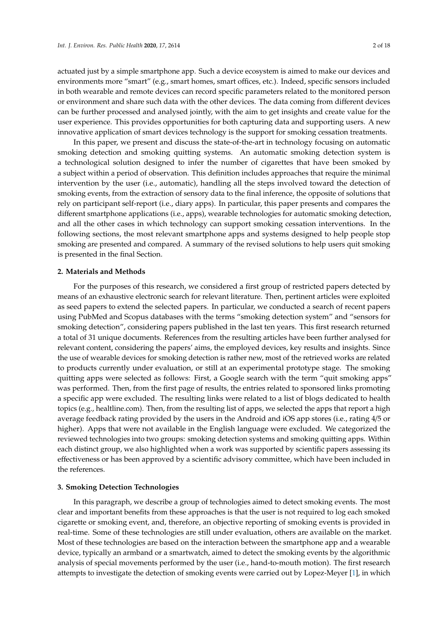actuated just by a simple smartphone app. Such a device ecosystem is aimed to make our devices and environments more "smart" (e.g., smart homes, smart offices, etc.). Indeed, specific sensors included in both wearable and remote devices can record specific parameters related to the monitored person or environment and share such data with the other devices. The data coming from different devices can be further processed and analysed jointly, with the aim to get insights and create value for the user experience. This provides opportunities for both capturing data and supporting users. A new innovative application of smart devices technology is the support for smoking cessation treatments.

In this paper, we present and discuss the state-of-the-art in technology focusing on automatic smoking detection and smoking quitting systems. An automatic smoking detection system is a technological solution designed to infer the number of cigarettes that have been smoked by a subject within a period of observation. This definition includes approaches that require the minimal intervention by the user (i.e., automatic), handling all the steps involved toward the detection of smoking events, from the extraction of sensory data to the final inference, the opposite of solutions that rely on participant self-report (i.e., diary apps). In particular, this paper presents and compares the different smartphone applications (i.e., apps), wearable technologies for automatic smoking detection, and all the other cases in which technology can support smoking cessation interventions. In the following sections, the most relevant smartphone apps and systems designed to help people stop smoking are presented and compared. A summary of the revised solutions to help users quit smoking is presented in the final Section.

#### **2. Materials and Methods**

For the purposes of this research, we considered a first group of restricted papers detected by means of an exhaustive electronic search for relevant literature. Then, pertinent articles were exploited as seed papers to extend the selected papers. In particular, we conducted a search of recent papers using PubMed and Scopus databases with the terms "smoking detection system" and "sensors for smoking detection", considering papers published in the last ten years. This first research returned a total of 31 unique documents. References from the resulting articles have been further analysed for relevant content, considering the papers' aims, the employed devices, key results and insights. Since the use of wearable devices for smoking detection is rather new, most of the retrieved works are related to products currently under evaluation, or still at an experimental prototype stage. The smoking quitting apps were selected as follows: First, a Google search with the term "quit smoking apps" was performed. Then, from the first page of results, the entries related to sponsored links promoting a specific app were excluded. The resulting links were related to a list of blogs dedicated to health topics (e.g., healtline.com). Then, from the resulting list of apps, we selected the apps that report a high average feedback rating provided by the users in the Android and iOS app stores (i.e., rating 4/5 or higher). Apps that were not available in the English language were excluded. We categorized the reviewed technologies into two groups: smoking detection systems and smoking quitting apps. Within each distinct group, we also highlighted when a work was supported by scientific papers assessing its effectiveness or has been approved by a scientific advisory committee, which have been included in the references.

#### **3. Smoking Detection Technologies**

In this paragraph, we describe a group of technologies aimed to detect smoking events. The most clear and important benefits from these approaches is that the user is not required to log each smoked cigarette or smoking event, and, therefore, an objective reporting of smoking events is provided in real-time. Some of these technologies are still under evaluation, others are available on the market. Most of these technologies are based on the interaction between the smartphone app and a wearable device, typically an armband or a smartwatch, aimed to detect the smoking events by the algorithmic analysis of special movements performed by the user (i.e., hand-to-mouth motion). The first research attempts to investigate the detection of smoking events were carried out by Lopez-Meyer [\[1\]](#page-16-0), in which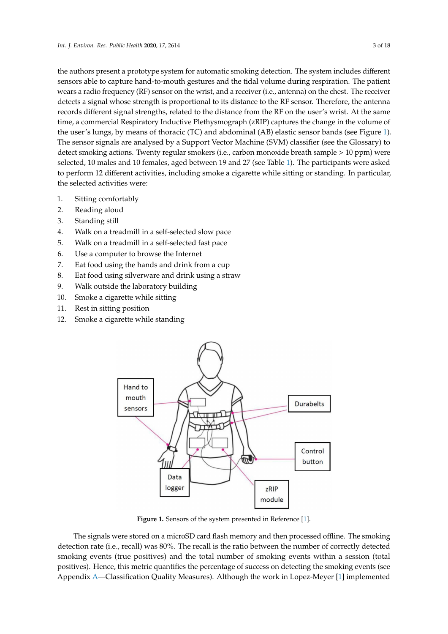the authors present a prototype system for automatic smoking detection. The system includes different sensors able to capture hand-to-mouth gestures and the tidal volume during respiration. The patient wears a radio frequency (RF) sensor on the wrist, and a receiver (i.e., antenna) on the chest. The receiver detects a signal whose strength is proportional to its distance to the RF sensor. Therefore, the antenna records different signal strengths, related to the distance from the RF on the user's wrist. At the same time, a commercial Respiratory Inductive Plethysmograph (zRIP) captures the change in the volume of the user's lungs, by means of thoracic (TC) and abdominal (AB) elastic sensor bands (see Figure [1\)](#page-2-0). The sensor signals are analysed by a Support Vector Machine (SVM) classifier (see the Glossary) to detect smoking actions. Twenty regular smokers (i.e., carbon monoxide breath sample > 10 ppm) were selected, 10 males and 10 females, aged between 19 and 27 (see Table [1\)](#page-5-0). The participants were asked to perform 12 different activities, including smoke a cigarette while sitting or standing. In particular, the selected activities were:

- 1. Sitting comfortably
- 2. Reading aloud
- 3. Standing still
- 4. Walk on a treadmill in a self-selected slow pace
- 5. Walk on a treadmill in a self-selected fast pace
- 6. Use a computer to browse the Internet
- 7. Eat food using the hands and drink from a cup
- 8. Eat food using silverware and drink using a straw
- 9. Walk outside the laboratory building
- 10. Smoke a cigarette while sitting
- 11. Rest in sitting position
- <span id="page-2-0"></span>12. Smoke a cigarette while standing



**Figure 1.** Sensors of the system presented in Reference [\[1\]](#page-16-0).

The signals were stored on a microSD card flash memory and then processed offline. The smoking detection rate (i.e., recall) was 80%. The recall is the ratio between the number of correctly detected smoking events (true positives) and the total number of smoking events within a session (total positives). Hence, this metric quantifies the percentage of success on detecting the smoking events (see Appendix [A—](#page-15-0)Classification Quality Measures). Although the work in Lopez-Meyer [\[1\]](#page-16-0) implemented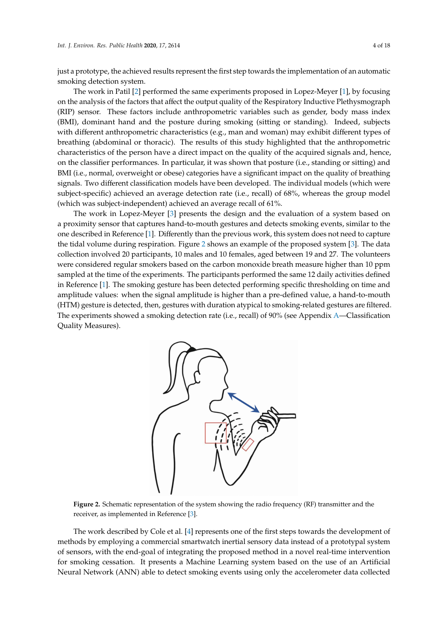just a prototype, the achieved results represent the first step towards the implementation of an automatic smoking detection system.

The work in Patil [\[2\]](#page-16-1) performed the same experiments proposed in Lopez-Meyer [\[1\]](#page-16-0), by focusing on the analysis of the factors that affect the output quality of the Respiratory Inductive Plethysmograph (RIP) sensor. These factors include anthropometric variables such as gender, body mass index (BMI), dominant hand and the posture during smoking (sitting or standing). Indeed, subjects with different anthropometric characteristics (e.g., man and woman) may exhibit different types of breathing (abdominal or thoracic). The results of this study highlighted that the anthropometric characteristics of the person have a direct impact on the quality of the acquired signals and, hence, on the classifier performances. In particular, it was shown that posture (i.e., standing or sitting) and BMI (i.e., normal, overweight or obese) categories have a significant impact on the quality of breathing signals. Two different classification models have been developed. The individual models (which were subject-specific) achieved an average detection rate (i.e., recall) of 68%, whereas the group model (which was subject-independent) achieved an average recall of 61%.

The work in Lopez-Meyer [\[3\]](#page-16-2) presents the design and the evaluation of a system based on a proximity sensor that captures hand-to-mouth gestures and detects smoking events, similar to the one described in Reference [\[1\]](#page-16-0). Differently than the previous work, this system does not need to capture the tidal volume during respiration. Figure [2](#page-3-0) shows an example of the proposed system [\[3\]](#page-16-2). The data collection involved 20 participants, 10 males and 10 females, aged between 19 and 27. The volunteers were considered regular smokers based on the carbon monoxide breath measure higher than 10 ppm sampled at the time of the experiments. The participants performed the same 12 daily activities defined in Reference [\[1\]](#page-16-0). The smoking gesture has been detected performing specific thresholding on time and amplitude values: when the signal amplitude is higher than a pre-defined value, a hand-to-mouth (HTM) gesture is detected, then, gestures with duration atypical to smoking-related gestures are filtered. The experiments showed a smoking detection rate (i.e., recall) of 90% (see Appendix [A—](#page-15-0)Classification Quality Measures).

<span id="page-3-0"></span>

**Figure 2.** Schematic representation of the system showing the radio frequency (RF) transmitter and the receiver, as implemented in Reference [\[3\]](#page-16-2).

The work described by Cole et al. [\[4\]](#page-16-3) represents one of the first steps towards the development of methods by employing a commercial smartwatch inertial sensory data instead of a prototypal system of sensors, with the end-goal of integrating the proposed method in a novel real-time intervention for smoking cessation. It presents a Machine Learning system based on the use of an Artificial Neural Network (ANN) able to detect smoking events using only the accelerometer data collected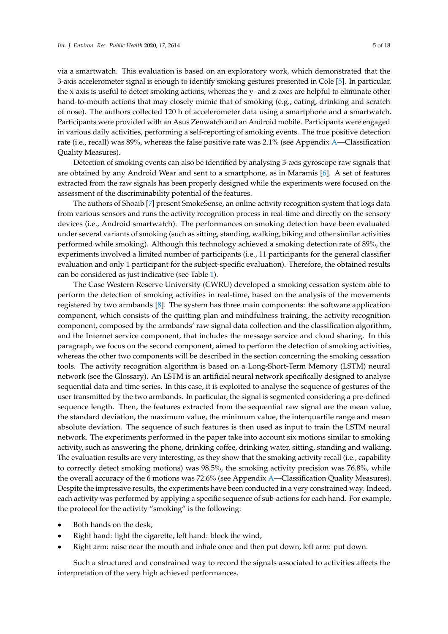via a smartwatch. This evaluation is based on an exploratory work, which demonstrated that the 3-axis accelerometer signal is enough to identify smoking gestures presented in Cole [\[5\]](#page-16-4). In particular, the x-axis is useful to detect smoking actions, whereas the y- and z-axes are helpful to eliminate other hand-to-mouth actions that may closely mimic that of smoking (e.g., eating, drinking and scratch of nose). The authors collected 120 h of accelerometer data using a smartphone and a smartwatch. Participants were provided with an Asus Zenwatch and an Android mobile. Participants were engaged in various daily activities, performing a self-reporting of smoking events. The true positive detection rate (i.e., recall) was 89%, whereas the false positive rate was 2.1% (see Appendix [A—](#page-15-0)Classification Quality Measures).

Detection of smoking events can also be identified by analysing 3-axis gyroscope raw signals that are obtained by any Android Wear and sent to a smartphone, as in Maramis [\[6\]](#page-16-5). A set of features extracted from the raw signals has been properly designed while the experiments were focused on the assessment of the discriminability potential of the features.

The authors of Shoaib [\[7\]](#page-16-6) present SmokeSense, an online activity recognition system that logs data from various sensors and runs the activity recognition process in real-time and directly on the sensory devices (i.e., Android smartwatch). The performances on smoking detection have been evaluated under several variants of smoking (such as sitting, standing, walking, biking and other similar activities performed while smoking). Although this technology achieved a smoking detection rate of 89%, the experiments involved a limited number of participants (i.e., 11 participants for the general classifier evaluation and only 1 participant for the subject-specific evaluation). Therefore, the obtained results can be considered as just indicative (see Table [1\)](#page-5-0).

The Case Western Reserve University (CWRU) developed a smoking cessation system able to perform the detection of smoking activities in real-time, based on the analysis of the movements registered by two armbands [\[8\]](#page-16-7). The system has three main components: the software application component, which consists of the quitting plan and mindfulness training, the activity recognition component, composed by the armbands' raw signal data collection and the classification algorithm, and the Internet service component, that includes the message service and cloud sharing. In this paragraph, we focus on the second component, aimed to perform the detection of smoking activities, whereas the other two components will be described in the section concerning the smoking cessation tools. The activity recognition algorithm is based on a Long-Short-Term Memory (LSTM) neural network (see the Glossary). An LSTM is an artificial neural network specifically designed to analyse sequential data and time series. In this case, it is exploited to analyse the sequence of gestures of the user transmitted by the two armbands. In particular, the signal is segmented considering a pre-defined sequence length. Then, the features extracted from the sequential raw signal are the mean value, the standard deviation, the maximum value, the minimum value, the interquartile range and mean absolute deviation. The sequence of such features is then used as input to train the LSTM neural network. The experiments performed in the paper take into account six motions similar to smoking activity, such as answering the phone, drinking coffee, drinking water, sitting, standing and walking. The evaluation results are very interesting, as they show that the smoking activity recall (i.e., capability to correctly detect smoking motions) was 98.5%, the smoking activity precision was 76.8%, while the overall accuracy of the 6 motions was 72.6% (see Appendix [A—](#page-15-0)Classification Quality Measures). Despite the impressive results, the experiments have been conducted in a very constrained way. Indeed, each activity was performed by applying a specific sequence of sub-actions for each hand. For example, the protocol for the activity "smoking" is the following:

- Both hands on the desk,
- Right hand: light the cigarette, left hand: block the wind,
- Right arm: raise near the mouth and inhale once and then put down, left arm: put down.

Such a structured and constrained way to record the signals associated to activities affects the interpretation of the very high achieved performances.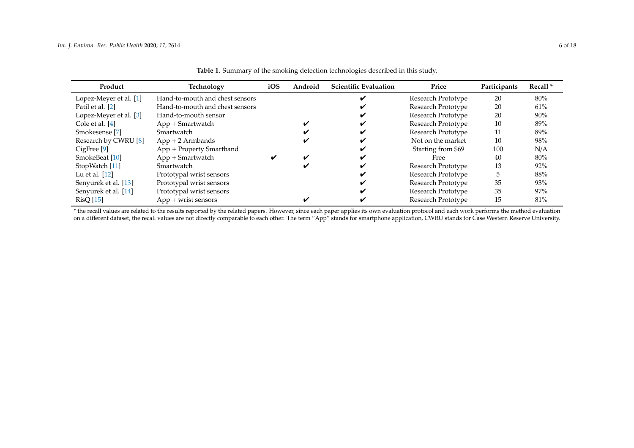| Product                   | Technology                      | iOS | Android | <b>Scientific Evaluation</b> | Price              | Participants | Recall <sup>*</sup> |
|---------------------------|---------------------------------|-----|---------|------------------------------|--------------------|--------------|---------------------|
| Lopez-Meyer et al. [1]    | Hand-to-mouth and chest sensors |     |         |                              | Research Prototype | 20           | 80%                 |
| Patil et al. [2]          | Hand-to-mouth and chest sensors |     |         |                              | Research Prototype | 20           | 61%                 |
| Lopez-Meyer et al. [3]    | Hand-to-mouth sensor            |     |         |                              | Research Prototype | 20           | 90%                 |
| Cole et al. $[4]$         | App + Smartwatch                |     |         |                              | Research Prototype | 10           | 89%                 |
| Smokesense <sup>[7]</sup> | Smartwatch                      |     |         |                              | Research Prototype | 11           | 89%                 |
| Research by CWRU [8]      | $App + 2$ Armbands              |     |         |                              | Not on the market  | 10           | 98%                 |
| CigFree [9]               | App + Property Smartband        |     |         |                              | Starting from \$69 | 100          | N/A                 |
| SmokeBeat [10]            | App + Smartwatch                | V   |         |                              | Free               | 40           | $80\%$              |
| StopWatch [11]            | Smartwatch                      |     |         |                              | Research Prototype | 13           | 92%                 |
| Lu et al. $[12]$          | Prototypal wrist sensors        |     |         |                              | Research Prototype |              | 88%                 |
| Senyurek et al. [13]      | Prototypal wrist sensors        |     |         |                              | Research Prototype | 35           | 93%                 |
| Senyurek et al. [14]      | Prototypal wrist sensors        |     |         |                              | Research Prototype | 35           | 97%                 |
| <b>RisQ</b> [15]          | $App + wrist$ sensors           |     |         |                              | Research Prototype | 15           | 81%                 |

**Table 1.** Summary of the smoking detection technologies described in this study.

<span id="page-5-0"></span>\* the recall values are related to the results reported by the related papers. However, since each paper applies its own evaluation protocol and each work performs the method evaluation on a different dataset, the recall values are not directly comparable to each other. The term "App" stands for smartphone application, CWRU stands for Case Western Reserve University.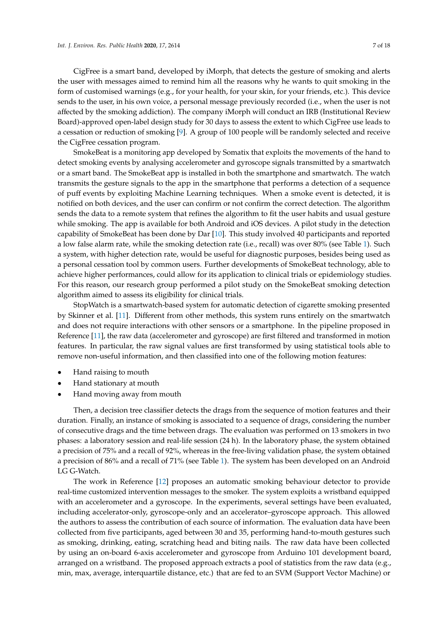CigFree is a smart band, developed by iMorph, that detects the gesture of smoking and alerts the user with messages aimed to remind him all the reasons why he wants to quit smoking in the form of customised warnings (e.g., for your health, for your skin, for your friends, etc.). This device sends to the user, in his own voice, a personal message previously recorded (i.e., when the user is not affected by the smoking addiction). The company iMorph will conduct an IRB (Institutional Review Board)-approved open-label design study for 30 days to assess the extent to which CigFree use leads to a cessation or reduction of smoking [\[9\]](#page-16-18). A group of 100 people will be randomly selected and receive the CigFree cessation program.

SmokeBeat is a monitoring app developed by Somatix that exploits the movements of the hand to detect smoking events by analysing accelerometer and gyroscope signals transmitted by a smartwatch or a smart band. The SmokeBeat app is installed in both the smartphone and smartwatch. The watch transmits the gesture signals to the app in the smartphone that performs a detection of a sequence of puff events by exploiting Machine Learning techniques. When a smoke event is detected, it is notified on both devices, and the user can confirm or not confirm the correct detection. The algorithm sends the data to a remote system that refines the algorithm to fit the user habits and usual gesture while smoking. The app is available for both Android and iOS devices. A pilot study in the detection capability of SmokeBeat has been done by Dar [\[10\]](#page-16-19). This study involved 40 participants and reported a low false alarm rate, while the smoking detection rate (i.e., recall) was over 80% (see Table [1\)](#page-5-0). Such a system, with higher detection rate, would be useful for diagnostic purposes, besides being used as a personal cessation tool by common users. Further developments of SmokeBeat technology, able to achieve higher performances, could allow for its application to clinical trials or epidemiology studies. For this reason, our research group performed a pilot study on the SmokeBeat smoking detection algorithm aimed to assess its eligibility for clinical trials.

StopWatch is a smartwatch-based system for automatic detection of cigarette smoking presented by Skinner et al. [\[11\]](#page-16-20). Different from other methods, this system runs entirely on the smartwatch and does not require interactions with other sensors or a smartphone. In the pipeline proposed in Reference [\[11\]](#page-16-20), the raw data (accelerometer and gyroscope) are first filtered and transformed in motion features. In particular, the raw signal values are first transformed by using statistical tools able to remove non-useful information, and then classified into one of the following motion features:

- Hand raising to mouth
- Hand stationary at mouth
- Hand moving away from mouth

Then, a decision tree classifier detects the drags from the sequence of motion features and their duration. Finally, an instance of smoking is associated to a sequence of drags, considering the number of consecutive drags and the time between drags. The evaluation was performed on 13 smokers in two phases: a laboratory session and real-life session (24 h). In the laboratory phase, the system obtained a precision of 75% and a recall of 92%, whereas in the free-living validation phase, the system obtained a precision of 86% and a recall of 71% (see Table [1\)](#page-5-0). The system has been developed on an Android LG G-Watch.

The work in Reference [\[12\]](#page-16-21) proposes an automatic smoking behaviour detector to provide real-time customized intervention messages to the smoker. The system exploits a wristband equipped with an accelerometer and a gyroscope. In the experiments, several settings have been evaluated, including accelerator-only, gyroscope-only and an accelerator–gyroscope approach. This allowed the authors to assess the contribution of each source of information. The evaluation data have been collected from five participants, aged between 30 and 35, performing hand-to-mouth gestures such as smoking, drinking, eating, scratching head and biting nails. The raw data have been collected by using an on-board 6-axis accelerometer and gyroscope from Arduino 101 development board, arranged on a wristband. The proposed approach extracts a pool of statistics from the raw data (e.g., min, max, average, interquartile distance, etc.) that are fed to an SVM (Support Vector Machine) or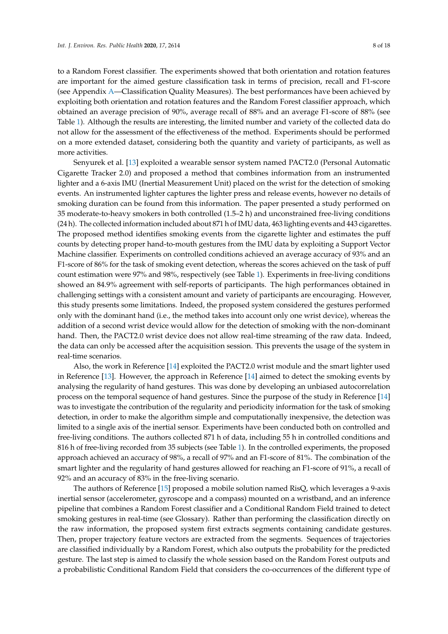to a Random Forest classifier. The experiments showed that both orientation and rotation features are important for the aimed gesture classification task in terms of precision, recall and F1-score (see Appendix [A—](#page-15-0)Classification Quality Measures). The best performances have been achieved by exploiting both orientation and rotation features and the Random Forest classifier approach, which obtained an average precision of 90%, average recall of 88% and an average F1-score of 88% (see Table [1\)](#page-5-0). Although the results are interesting, the limited number and variety of the collected data do not allow for the assessment of the effectiveness of the method. Experiments should be performed on a more extended dataset, considering both the quantity and variety of participants, as well as more activities.

Senyurek et al. [\[13\]](#page-16-22) exploited a wearable sensor system named PACT2.0 (Personal Automatic Cigarette Tracker 2.0) and proposed a method that combines information from an instrumented lighter and a 6-axis IMU (Inertial Measurement Unit) placed on the wrist for the detection of smoking events. An instrumented lighter captures the lighter press and release events, however no details of smoking duration can be found from this information. The paper presented a study performed on 35 moderate-to-heavy smokers in both controlled (1.5–2 h) and unconstrained free-living conditions (24 h). The collected information included about 871 h of IMU data, 463 lighting events and 443 cigarettes. The proposed method identifies smoking events from the cigarette lighter and estimates the puff counts by detecting proper hand-to-mouth gestures from the IMU data by exploiting a Support Vector Machine classifier. Experiments on controlled conditions achieved an average accuracy of 93% and an F1-score of 86% for the task of smoking event detection, whereas the scores achieved on the task of puff count estimation were 97% and 98%, respectively (see Table [1\)](#page-5-0). Experiments in free-living conditions showed an 84.9% agreement with self-reports of participants. The high performances obtained in challenging settings with a consistent amount and variety of participants are encouraging. However, this study presents some limitations. Indeed, the proposed system considered the gestures performed only with the dominant hand (i.e., the method takes into account only one wrist device), whereas the addition of a second wrist device would allow for the detection of smoking with the non-dominant hand. Then, the PACT2.0 wrist device does not allow real-time streaming of the raw data. Indeed, the data can only be accessed after the acquisition session. This prevents the usage of the system in real-time scenarios.

Also, the work in Reference [\[14\]](#page-17-2) exploited the PACT2.0 wrist module and the smart lighter used in Reference [\[13\]](#page-16-22). However, the approach in Reference [\[14\]](#page-17-2) aimed to detect the smoking events by analysing the regularity of hand gestures. This was done by developing an unbiased autocorrelation process on the temporal sequence of hand gestures. Since the purpose of the study in Reference [\[14\]](#page-17-2) was to investigate the contribution of the regularity and periodicity information for the task of smoking detection, in order to make the algorithm simple and computationally inexpensive, the detection was limited to a single axis of the inertial sensor. Experiments have been conducted both on controlled and free-living conditions. The authors collected 871 h of data, including 55 h in controlled conditions and 816 h of free-living recorded from 35 subjects (see Table [1\)](#page-5-0). In the controlled experiments, the proposed approach achieved an accuracy of 98%, a recall of 97% and an F1-score of 81%. The combination of the smart lighter and the regularity of hand gestures allowed for reaching an F1-score of 91%, a recall of 92% and an accuracy of 83% in the free-living scenario.

The authors of Reference [\[15\]](#page-17-3) proposed a mobile solution named RisQ, which leverages a 9-axis inertial sensor (accelerometer, gyroscope and a compass) mounted on a wristband, and an inference pipeline that combines a Random Forest classifier and a Conditional Random Field trained to detect smoking gestures in real-time (see Glossary). Rather than performing the classification directly on the raw information, the proposed system first extracts segments containing candidate gestures. Then, proper trajectory feature vectors are extracted from the segments. Sequences of trajectories are classified individually by a Random Forest, which also outputs the probability for the predicted gesture. The last step is aimed to classify the whole session based on the Random Forest outputs and a probabilistic Conditional Random Field that considers the co-occurrences of the different type of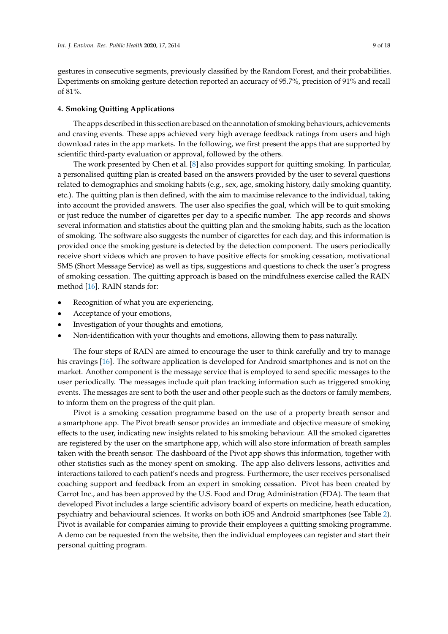gestures in consecutive segments, previously classified by the Random Forest, and their probabilities. Experiments on smoking gesture detection reported an accuracy of 95.7%, precision of 91% and recall of 81%.

## **4. Smoking Quitting Applications**

The apps described in this section are based on the annotation of smoking behaviours, achievements and craving events. These apps achieved very high average feedback ratings from users and high download rates in the app markets. In the following, we first present the apps that are supported by scientific third-party evaluation or approval, followed by the others.

The work presented by Chen et al. [\[8\]](#page-16-7) also provides support for quitting smoking. In particular, a personalised quitting plan is created based on the answers provided by the user to several questions related to demographics and smoking habits (e.g., sex, age, smoking history, daily smoking quantity, etc.). The quitting plan is then defined, with the aim to maximise relevance to the individual, taking into account the provided answers. The user also specifies the goal, which will be to quit smoking or just reduce the number of cigarettes per day to a specific number. The app records and shows several information and statistics about the quitting plan and the smoking habits, such as the location of smoking. The software also suggests the number of cigarettes for each day, and this information is provided once the smoking gesture is detected by the detection component. The users periodically receive short videos which are proven to have positive effects for smoking cessation, motivational SMS (Short Message Service) as well as tips, suggestions and questions to check the user's progress of smoking cessation. The quitting approach is based on the mindfulness exercise called the RAIN method [\[16\]](#page-17-4). RAIN stands for:

- Recognition of what you are experiencing,
- Acceptance of your emotions,
- Investigation of your thoughts and emotions,
- Non-identification with your thoughts and emotions, allowing them to pass naturally.

The four steps of RAIN are aimed to encourage the user to think carefully and try to manage his cravings [\[16\]](#page-17-4). The software application is developed for Android smartphones and is not on the market. Another component is the message service that is employed to send specific messages to the user periodically. The messages include quit plan tracking information such as triggered smoking events. The messages are sent to both the user and other people such as the doctors or family members, to inform them on the progress of the quit plan.

Pivot is a smoking cessation programme based on the use of a property breath sensor and a smartphone app. The Pivot breath sensor provides an immediate and objective measure of smoking effects to the user, indicating new insights related to his smoking behaviour. All the smoked cigarettes are registered by the user on the smartphone app, which will also store information of breath samples taken with the breath sensor. The dashboard of the Pivot app shows this information, together with other statistics such as the money spent on smoking. The app also delivers lessons, activities and interactions tailored to each patient's needs and progress. Furthermore, the user receives personalised coaching support and feedback from an expert in smoking cessation. Pivot has been created by Carrot Inc., and has been approved by the U.S. Food and Drug Administration (FDA). The team that developed Pivot includes a large scientific advisory board of experts on medicine, heath education, psychiatry and behavioural sciences. It works on both iOS and Android smartphones (see Table [2\)](#page-9-0). Pivot is available for companies aiming to provide their employees a quitting smoking programme. A demo can be requested from the website, then the individual employees can register and start their personal quitting program.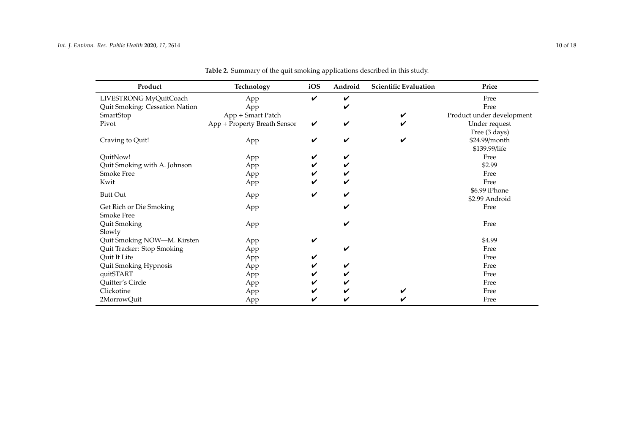<span id="page-9-0"></span>

| Product                        | Technology                   | iOS | Android | <b>Scientific Evaluation</b> | Price                     |
|--------------------------------|------------------------------|-----|---------|------------------------------|---------------------------|
| LIVESTRONG MyQuitCoach         | App                          | ✓   | V       |                              | Free                      |
| Quit Smoking: Cessation Nation | App                          |     | V       |                              | Free                      |
| SmartStop                      | App + Smart Patch            |     |         |                              | Product under development |
| Pivot                          | App + Property Breath Sensor | V   | V       |                              | Under request             |
|                                |                              |     |         |                              | Free (3 days)             |
| Craving to Quit!               | App                          | ✓   | V       |                              | \$24.99/month             |
|                                |                              |     |         |                              | \$139.99/life             |
| QuitNow!                       | App                          | V   | V       |                              | Free                      |
| Quit Smoking with A. Johnson   | App                          | V   |         |                              | \$2.99                    |
| <b>Smoke Free</b>              | App                          |     |         |                              | Free                      |
| Kwit                           | App                          |     |         |                              | Free                      |
| <b>Butt Out</b>                |                              | ✓   | V       |                              | \$6.99 iPhone             |
|                                | App                          |     |         |                              | \$2.99 Android            |
| Get Rich or Die Smoking        | App                          |     | V       |                              | Free                      |
| <b>Smoke Free</b>              |                              |     |         |                              |                           |
| Quit Smoking                   | App                          |     | V       |                              | Free                      |
| Slowly                         |                              |     |         |                              |                           |
| Quit Smoking NOW-M. Kirsten    | App                          | ✓   |         |                              | \$4.99                    |
| Quit Tracker: Stop Smoking     | App                          |     | V       |                              | Free                      |
| Quit It Lite                   | App                          | V   |         |                              | Free                      |
| Quit Smoking Hypnosis          | App                          |     | v       |                              | Free                      |
| quitSTART                      | App                          |     |         |                              | Free                      |
| Quitter's Circle               | App                          |     |         |                              | Free                      |
| Clickotine                     | App                          |     |         |                              | Free                      |
| 2MorrowQuit                    | App                          |     |         |                              | Free                      |

**Table 2.** Summary of the quit smoking applications described in this study.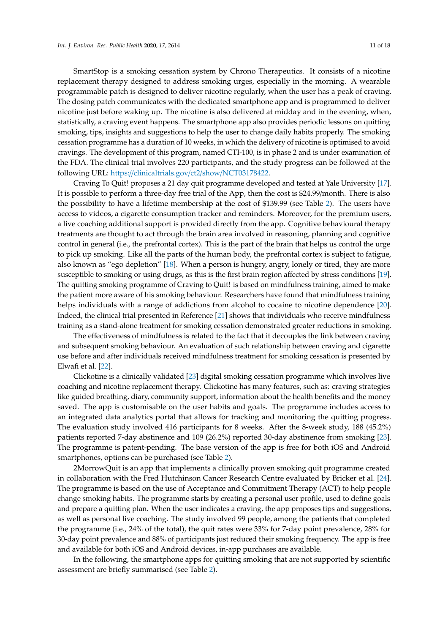SmartStop is a smoking cessation system by Chrono Therapeutics. It consists of a nicotine replacement therapy designed to address smoking urges, especially in the morning. A wearable programmable patch is designed to deliver nicotine regularly, when the user has a peak of craving. The dosing patch communicates with the dedicated smartphone app and is programmed to deliver nicotine just before waking up. The nicotine is also delivered at midday and in the evening, when, statistically, a craving event happens. The smartphone app also provides periodic lessons on quitting smoking, tips, insights and suggestions to help the user to change daily habits properly. The smoking cessation programme has a duration of 10 weeks, in which the delivery of nicotine is optimised to avoid cravings. The development of this program, named CTI-100, is in phase 2 and is under examination of the FDA. The clinical trial involves 220 participants, and the study progress can be followed at the following URL: https://[clinicaltrials.gov](https://clinicaltrials.gov/ct2/show/NCT03178422)/ct2/show/NCT03178422.

Craving To Quit! proposes a 21 day quit programme developed and tested at Yale University [\[17\]](#page-17-5). It is possible to perform a three-day free trial of the App, then the cost is \$24.99/month. There is also the possibility to have a lifetime membership at the cost of \$139.99 (see Table [2\)](#page-9-0). The users have access to videos, a cigarette consumption tracker and reminders. Moreover, for the premium users, a live coaching additional support is provided directly from the app. Cognitive behavioural therapy treatments are thought to act through the brain area involved in reasoning, planning and cognitive control in general (i.e., the prefrontal cortex). This is the part of the brain that helps us control the urge to pick up smoking. Like all the parts of the human body, the prefrontal cortex is subject to fatigue, also known as "ego depletion" [\[18\]](#page-17-6). When a person is hungry, angry, lonely or tired, they are more susceptible to smoking or using drugs, as this is the first brain region affected by stress conditions [\[19\]](#page-17-7). The quitting smoking programme of Craving to Quit! is based on mindfulness training, aimed to make the patient more aware of his smoking behaviour. Researchers have found that mindfulness training helps individuals with a range of addictions from alcohol to cocaine to nicotine dependence [\[20\]](#page-17-8). Indeed, the clinical trial presented in Reference [\[21\]](#page-17-9) shows that individuals who receive mindfulness training as a stand-alone treatment for smoking cessation demonstrated greater reductions in smoking.

The effectiveness of mindfulness is related to the fact that it decouples the link between craving and subsequent smoking behaviour. An evaluation of such relationship between craving and cigarette use before and after individuals received mindfulness treatment for smoking cessation is presented by Elwafi et al. [\[22\]](#page-17-10).

Clickotine is a clinically validated [\[23\]](#page-17-11) digital smoking cessation programme which involves live coaching and nicotine replacement therapy. Clickotine has many features, such as: craving strategies like guided breathing, diary, community support, information about the health benefits and the money saved. The app is customisable on the user habits and goals. The programme includes access to an integrated data analytics portal that allows for tracking and monitoring the quitting progress. The evaluation study involved 416 participants for 8 weeks. After the 8-week study, 188 (45.2%) patients reported 7-day abstinence and 109 (26.2%) reported 30-day abstinence from smoking [\[23\]](#page-17-11). The programme is patent-pending. The base version of the app is free for both iOS and Android smartphones, options can be purchased (see Table [2\)](#page-9-0).

2MorrowQuit is an app that implements a clinically proven smoking quit programme created in collaboration with the Fred Hutchinson Cancer Research Centre evaluated by Bricker et al. [\[24\]](#page-17-12). The programme is based on the use of Acceptance and Commitment Therapy (ACT) to help people change smoking habits. The programme starts by creating a personal user profile, used to define goals and prepare a quitting plan. When the user indicates a craving, the app proposes tips and suggestions, as well as personal live coaching. The study involved 99 people, among the patients that completed the programme (i.e., 24% of the total), the quit rates were 33% for 7-day point prevalence, 28% for 30-day point prevalence and 88% of participants just reduced their smoking frequency. The app is free and available for both iOS and Android devices, in-app purchases are available.

In the following, the smartphone apps for quitting smoking that are not supported by scientific assessment are briefly summarised (see Table [2\)](#page-9-0).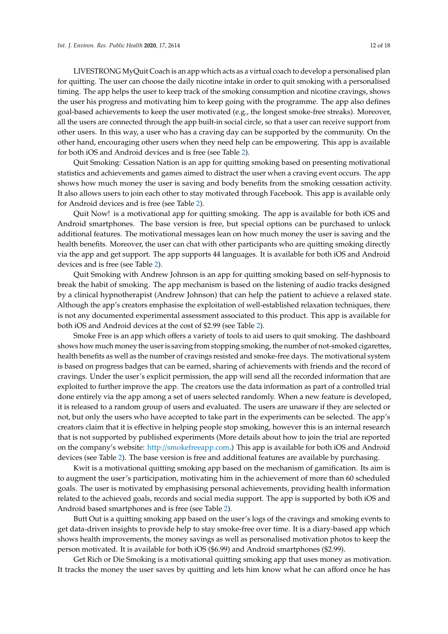LIVESTRONG MyQuit Coach is an app which acts as a virtual coach to develop a personalised plan for quitting. The user can choose the daily nicotine intake in order to quit smoking with a personalised timing. The app helps the user to keep track of the smoking consumption and nicotine cravings, shows the user his progress and motivating him to keep going with the programme. The app also defines goal-based achievements to keep the user motivated (e.g., the longest smoke-free streaks). Moreover, all the users are connected through the app built-in social circle, so that a user can receive support from other users. In this way, a user who has a craving day can be supported by the community. On the other hand, encouraging other users when they need help can be empowering. This app is available for both iOS and Android devices and is free (see Table [2\)](#page-9-0).

Quit Smoking: Cessation Nation is an app for quitting smoking based on presenting motivational statistics and achievements and games aimed to distract the user when a craving event occurs. The app shows how much money the user is saving and body benefits from the smoking cessation activity. It also allows users to join each other to stay motivated through Facebook. This app is available only for Android devices and is free (see Table [2\)](#page-9-0).

Quit Now! is a motivational app for quitting smoking. The app is available for both iOS and Android smartphones. The base version is free, but special options can be purchased to unlock additional features. The motivational messages lean on how much money the user is saving and the health benefits. Moreover, the user can chat with other participants who are quitting smoking directly via the app and get support. The app supports 44 languages. It is available for both iOS and Android devices and is free (see Table [2\)](#page-9-0).

Quit Smoking with Andrew Johnson is an app for quitting smoking based on self-hypnosis to break the habit of smoking. The app mechanism is based on the listening of audio tracks designed by a clinical hypnotherapist (Andrew Johnson) that can help the patient to achieve a relaxed state. Although the app's creators emphasise the exploitation of well-established relaxation techniques, there is not any documented experimental assessment associated to this product. This app is available for both iOS and Android devices at the cost of \$2.99 (see Table [2\)](#page-9-0).

Smoke Free is an app which offers a variety of tools to aid users to quit smoking. The dashboard shows how much money the user is saving from stopping smoking, the number of not-smoked cigarettes, health benefits as well as the number of cravings resisted and smoke-free days. The motivational system is based on progress badges that can be earned, sharing of achievements with friends and the record of cravings. Under the user's explicit permission, the app will send all the recorded information that are exploited to further improve the app. The creators use the data information as part of a controlled trial done entirely via the app among a set of users selected randomly. When a new feature is developed, it is released to a random group of users and evaluated. The users are unaware if they are selected or not, but only the users who have accepted to take part in the experiments can be selected. The app's creators claim that it is effective in helping people stop smoking, however this is an internal research that is not supported by published experiments (More details about how to join the trial are reported on the company's website: http://[smokefreeapp.com.](http://smokefreeapp.com)) This app is available for both iOS and Android devices (see Table [2\)](#page-9-0). The base version is free and additional features are available by purchasing.

Kwit is a motivational quitting smoking app based on the mechanism of gamification. Its aim is to augment the user's participation, motivating him in the achievement of more than 60 scheduled goals. The user is motivated by emphasising personal achievements, providing health information related to the achieved goals, records and social media support. The app is supported by both iOS and Android based smartphones and is free (see Table [2\)](#page-9-0).

Butt Out is a quitting smoking app based on the user's logs of the cravings and smoking events to get data-driven insights to provide help to stay smoke-free over time. It is a diary-based app which shows health improvements, the money savings as well as personalised motivation photos to keep the person motivated. It is available for both iOS (\$6.99) and Android smartphones (\$2.99).

Get Rich or Die Smoking is a motivational quitting smoking app that uses money as motivation. It tracks the money the user saves by quitting and lets him know what he can afford once he has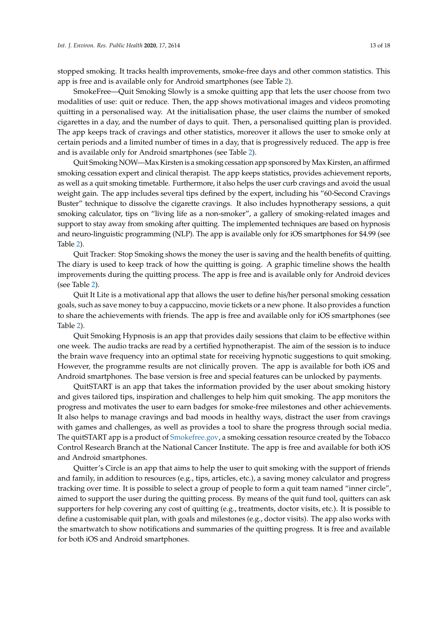stopped smoking. It tracks health improvements, smoke-free days and other common statistics. This app is free and is available only for Android smartphones (see Table [2\)](#page-9-0).

SmokeFree—Quit Smoking Slowly is a smoke quitting app that lets the user choose from two modalities of use: quit or reduce. Then, the app shows motivational images and videos promoting quitting in a personalised way. At the initialisation phase, the user claims the number of smoked cigarettes in a day, and the number of days to quit. Then, a personalised quitting plan is provided. The app keeps track of cravings and other statistics, moreover it allows the user to smoke only at certain periods and a limited number of times in a day, that is progressively reduced. The app is free and is available only for Android smartphones (see Table [2\)](#page-9-0).

Quit Smoking NOW—Max Kirsten is a smoking cessation app sponsored by Max Kirsten, an affirmed smoking cessation expert and clinical therapist. The app keeps statistics, provides achievement reports, as well as a quit smoking timetable. Furthermore, it also helps the user curb cravings and avoid the usual weight gain. The app includes several tips defined by the expert, including his "60-Second Cravings Buster" technique to dissolve the cigarette cravings. It also includes hypnotherapy sessions, a quit smoking calculator, tips on "living life as a non-smoker", a gallery of smoking-related images and support to stay away from smoking after quitting. The implemented techniques are based on hypnosis and neuro-linguistic programming (NLP). The app is available only for iOS smartphones for \$4.99 (see Table [2\)](#page-9-0).

Quit Tracker: Stop Smoking shows the money the user is saving and the health benefits of quitting. The diary is used to keep track of how the quitting is going. A graphic timeline shows the health improvements during the quitting process. The app is free and is available only for Android devices (see Table [2\)](#page-9-0).

Quit It Lite is a motivational app that allows the user to define his/her personal smoking cessation goals, such as save money to buy a cappuccino, movie tickets or a new phone. It also provides a function to share the achievements with friends. The app is free and available only for iOS smartphones (see Table [2\)](#page-9-0).

Quit Smoking Hypnosis is an app that provides daily sessions that claim to be effective within one week. The audio tracks are read by a certified hypnotherapist. The aim of the session is to induce the brain wave frequency into an optimal state for receiving hypnotic suggestions to quit smoking. However, the programme results are not clinically proven. The app is available for both iOS and Android smartphones. The base version is free and special features can be unlocked by payments.

QuitSTART is an app that takes the information provided by the user about smoking history and gives tailored tips, inspiration and challenges to help him quit smoking. The app monitors the progress and motivates the user to earn badges for smoke-free milestones and other achievements. It also helps to manage cravings and bad moods in healthy ways, distract the user from cravings with games and challenges, as well as provides a tool to share the progress through social media. The quitSTART app is a product of [Smokefree.gov,](Smokefree.gov) a smoking cessation resource created by the Tobacco Control Research Branch at the National Cancer Institute. The app is free and available for both iOS and Android smartphones.

Quitter's Circle is an app that aims to help the user to quit smoking with the support of friends and family, in addition to resources (e.g., tips, articles, etc.), a saving money calculator and progress tracking over time. It is possible to select a group of people to form a quit team named "inner circle", aimed to support the user during the quitting process. By means of the quit fund tool, quitters can ask supporters for help covering any cost of quitting (e.g., treatments, doctor visits, etc.). It is possible to define a customisable quit plan, with goals and milestones (e.g., doctor visits). The app also works with the smartwatch to show notifications and summaries of the quitting progress. It is free and available for both iOS and Android smartphones.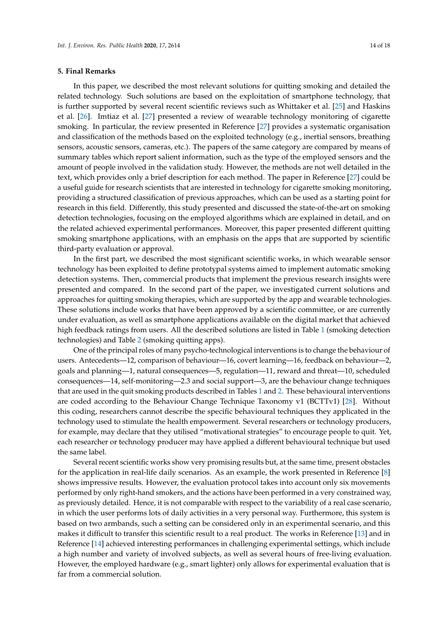#### **5. Final Remarks**

In this paper, we described the most relevant solutions for quitting smoking and detailed the related technology. Such solutions are based on the exploitation of smartphone technology, that is further supported by several recent scientific reviews such as Whittaker et al. [\[25\]](#page-17-13) and Haskins et al. [\[26\]](#page-17-14). Imtiaz et al. [\[27\]](#page-17-15) presented a review of wearable technology monitoring of cigarette smoking. In particular, the review presented in Reference [\[27\]](#page-17-15) provides a systematic organisation and classification of the methods based on the exploited technology (e.g., inertial sensors, breathing sensors, acoustic sensors, cameras, etc.). The papers of the same category are compared by means of summary tables which report salient information, such as the type of the employed sensors and the amount of people involved in the validation study. However, the methods are not well detailed in the text, which provides only a brief description for each method. The paper in Reference [\[27\]](#page-17-15) could be a useful guide for research scientists that are interested in technology for cigarette smoking monitoring, providing a structured classification of previous approaches, which can be used as a starting point for research in this field. Differently, this study presented and discussed the state-of-the-art on smoking detection technologies, focusing on the employed algorithms which are explained in detail, and on the related achieved experimental performances. Moreover, this paper presented different quitting smoking smartphone applications, with an emphasis on the apps that are supported by scientific third-party evaluation or approval.

In the first part, we described the most significant scientific works, in which wearable sensor technology has been exploited to define prototypal systems aimed to implement automatic smoking detection systems. Then, commercial products that implement the previous research insights were presented and compared. In the second part of the paper, we investigated current solutions and approaches for quitting smoking therapies, which are supported by the app and wearable technologies. These solutions include works that have been approved by a scientific committee, or are currently under evaluation, as well as smartphone applications available on the digital market that achieved high feedback ratings from users. All the described solutions are listed in Table [1](#page-5-0) (smoking detection technologies) and Table [2](#page-9-0) (smoking quitting apps).

One of the principal roles of many psycho-technological interventions is to change the behaviour of users. Antecedents—12, comparison of behaviour—16, covert learning—16, feedback on behaviour—2, goals and planning—1, natural consequences—5, regulation—11, reward and threat—10, scheduled consequences—14, self-monitoring—2.3 and social support—3, are the behaviour change techniques that are used in the quit smoking products described in Tables [1](#page-5-0) and [2.](#page-9-0) These behavioural interventions are coded according to the Behaviour Change Technique Taxonomy v1 (BCTTv1) [\[28\]](#page-17-16). Without this coding, researchers cannot describe the specific behavioural techniques they applicated in the technology used to stimulate the health empowerment. Several researchers or technology producers, for example, may declare that they utilised "motivational strategies" to encourage people to quit. Yet, each researcher or technology producer may have applied a different behavioural technique but used the same label.

Several recent scientific works show very promising results but, at the same time, present obstacles for the application in real-life daily scenarios. As an example, the work presented in Reference [\[8\]](#page-16-7) shows impressive results. However, the evaluation protocol takes into account only six movements performed by only right-hand smokers, and the actions have been performed in a very constrained way, as previously detailed. Hence, it is not comparable with respect to the variability of a real case scenario, in which the user performs lots of daily activities in a very personal way. Furthermore, this system is based on two armbands, such a setting can be considered only in an experimental scenario, and this makes it difficult to transfer this scientific result to a real product. The works in Reference [\[13\]](#page-16-22) and in Reference [\[14\]](#page-17-2) achieved interesting performances in challenging experimental settings, which include a high number and variety of involved subjects, as well as several hours of free-living evaluation. However, the employed hardware (e.g., smart lighter) only allows for experimental evaluation that is far from a commercial solution.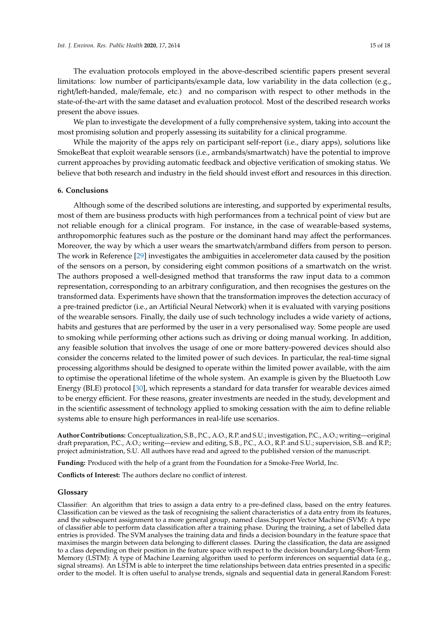The evaluation protocols employed in the above-described scientific papers present several limitations: low number of participants/example data, low variability in the data collection (e.g., right/left-handed, male/female, etc.) and no comparison with respect to other methods in the state-of-the-art with the same dataset and evaluation protocol. Most of the described research works present the above issues.

We plan to investigate the development of a fully comprehensive system, taking into account the most promising solution and properly assessing its suitability for a clinical programme.

While the majority of the apps rely on participant self-report (i.e., diary apps), solutions like SmokeBeat that exploit wearable sensors (i.e., armbands/smartwatch) have the potential to improve current approaches by providing automatic feedback and objective verification of smoking status. We believe that both research and industry in the field should invest effort and resources in this direction.

## **6. Conclusions**

Although some of the described solutions are interesting, and supported by experimental results, most of them are business products with high performances from a technical point of view but are not reliable enough for a clinical program. For instance, in the case of wearable-based systems, anthropomorphic features such as the posture or the dominant hand may affect the performances. Moreover, the way by which a user wears the smartwatch/armband differs from person to person. The work in Reference [\[29\]](#page-17-17) investigates the ambiguities in accelerometer data caused by the position of the sensors on a person, by considering eight common positions of a smartwatch on the wrist. The authors proposed a well-designed method that transforms the raw input data to a common representation, corresponding to an arbitrary configuration, and then recognises the gestures on the transformed data. Experiments have shown that the transformation improves the detection accuracy of a pre-trained predictor (i.e., an Artificial Neural Network) when it is evaluated with varying positions of the wearable sensors. Finally, the daily use of such technology includes a wide variety of actions, habits and gestures that are performed by the user in a very personalised way. Some people are used to smoking while performing other actions such as driving or doing manual working. In addition, any feasible solution that involves the usage of one or more battery-powered devices should also consider the concerns related to the limited power of such devices. In particular, the real-time signal processing algorithms should be designed to operate within the limited power available, with the aim to optimise the operational lifetime of the whole system. An example is given by the Bluetooth Low Energy (BLE) protocol [\[30\]](#page-17-18), which represents a standard for data transfer for wearable devices aimed to be energy efficient. For these reasons, greater investments are needed in the study, development and in the scientific assessment of technology applied to smoking cessation with the aim to define reliable systems able to ensure high performances in real-life use scenarios.

**Author Contributions:** Conceptualization, S.B., P.C., A.O., R.P. and S.U.; investigation, P.C., A.O.; writing—original draft preparation, P.C., A.O.; writing—review and editing, S.B., P.C., A.O., R.P. and S.U.; supervision, S.B. and R.P.; project administration, S.U. All authors have read and agreed to the published version of the manuscript.

**Funding:** Produced with the help of a grant from the Foundation for a Smoke-Free World, Inc.

**Conflicts of Interest:** The authors declare no conflict of interest.

## **Glossary**

Classifier: An algorithm that tries to assign a data entry to a pre-defined class, based on the entry features. Classification can be viewed as the task of recognising the salient characteristics of a data entry from its features, and the subsequent assignment to a more general group, named class.Support Vector Machine (SVM): A type of classifier able to perform data classification after a training phase. During the training, a set of labelled data entries is provided. The SVM analyses the training data and finds a decision boundary in the feature space that maximises the margin between data belonging to different classes. During the classification, the data are assigned to a class depending on their position in the feature space with respect to the decision boundary.Long-Short-Term Memory (LSTM): A type of Machine Learning algorithm used to perform inferences on sequential data (e.g., signal streams). An LSTM is able to interpret the time relationships between data entries presented in a specific order to the model. It is often useful to analyse trends, signals and sequential data in general.Random Forest: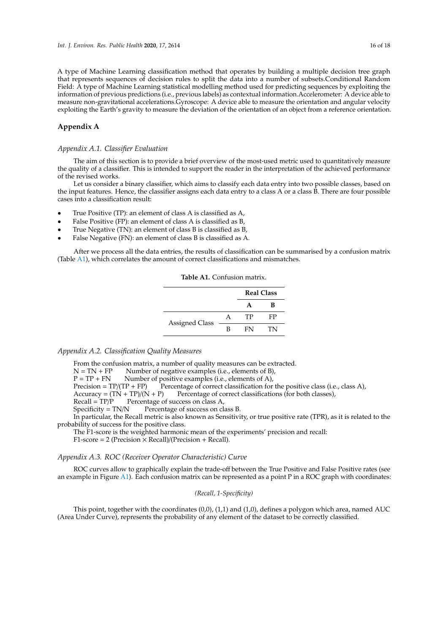A type of Machine Learning classification method that operates by building a multiple decision tree graph that represents sequences of decision rules to split the data into a number of subsets.Conditional Random Field: A type of Machine Learning statistical modelling method used for predicting sequences by exploiting the information of previous predictions (i.e., previous labels) as contextual information.Accelerometer: A device able to measure non-gravitational accelerations.Gyroscope: A device able to measure the orientation and angular velocity exploiting the Earth's gravity to measure the deviation of the orientation of an object from a reference orientation.

## <span id="page-15-0"></span>**Appendix A**

#### *Appendix A.1. Classifier Evaluation*

The aim of this section is to provide a brief overview of the most-used metric used to quantitatively measure the quality of a classifier. This is intended to support the reader in the interpretation of the achieved performance of the revised works.

Let us consider a binary classifier, which aims to classify each data entry into two possible classes, based on the input features. Hence, the classifier assigns each data entry to a class A or a class B. There are four possible cases into a classification result:

- True Positive (TP): an element of class A is classified as A,
- False Positive (FP): an element of class A is classified as B,
- True Negative (TN): an element of class B is classified as B,
- False Negative (FN): an element of class B is classified as A.

<span id="page-15-1"></span>After we process all the data entries, the results of classification can be summarised by a confusion matrix (Table [A1\)](#page-15-1), which correlates the amount of correct classifications and mismatches.

| <b>Table A1.</b> Confusion matrix. |  |
|------------------------------------|--|
|                                    |  |

|                       |   | <b>Real Class</b> |    |
|-----------------------|---|-------------------|----|
|                       |   |                   | R  |
| <b>Assigned Class</b> |   | TP                | FP |
|                       | R | FN                | TN |

#### *Appendix A.2. Classification Quality Measures*

From the confusion matrix, a number of quality measures can be extracted.

 $N = TN + FP$  Number of negative examples (i.e., elements of B),

 $P = TP + FN$  Number of positive examples (i.e., elements of A),<br>Precision =  $TP/(TP + FP)$  Percentage of correct classification for Percentage of correct classification for the positive class (i.e., class A),

 $Accuracy = (TN + TP)/(N + P)$  Percentage of correct classifications (for both classes),<br>Recall =  $TP/P$  Percentage of success on class A.

Percentage of success on class A,

 $Specificity = TN/N$  Percentage of success on class B.

In particular, the Recall metric is also known as Sensitivity, or true positive rate (TPR), as it is related to the probability of success for the positive class.

The F1-score is the weighted harmonic mean of the experiments' precision and recall:

 $F1$ -score = 2 (Precision  $\times$  Recall)/(Precision + Recall).

#### *Appendix A.3. ROC (Receiver Operator Characteristic) Curve*

ROC curves allow to graphically explain the trade-off between the True Positive and False Positive rates (see an example in Figure [A1\)](#page-16-23). Each confusion matrix can be represented as a point P in a ROC graph with coordinates:

## *(Recall, 1-Specificity)*

This point, together with the coordinates  $(0,0)$ ,  $(1,1)$  and  $(1,0)$ , defines a polygon which area, named AUC (Area Under Curve), represents the probability of any element of the dataset to be correctly classified.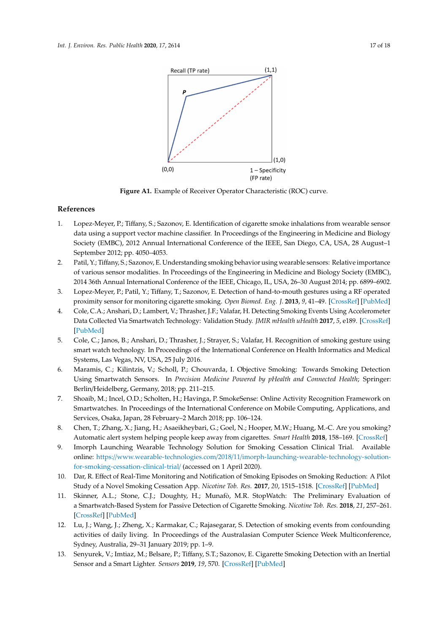<span id="page-16-23"></span><span id="page-16-10"></span><span id="page-16-9"></span><span id="page-16-8"></span>

**Figure A1.** Example of Receiver Operator Characteristic (ROC) curve.

## <span id="page-16-12"></span><span id="page-16-11"></span>**References**

- <span id="page-16-13"></span><span id="page-16-0"></span>1. Lopez-Meyer, P.; Tiffany, S.; Sazonov, E. Identification of cigarette smoke inhalations from wearable sensor data using a support vector machine classifier. In Proceedings of the Engineering in Medicine and Biology Society (EMBC), 2012 Annual International Conference of the IEEE, San Diego, CA, USA, 28 August–1 September 2012; pp. 4050–4053.
- <span id="page-16-14"></span><span id="page-16-1"></span>2. Patil, Y.; Tiffany, S.; Sazonov, E. Understanding smoking behavior using wearable sensors: Relative importance of various sensor modalities. In Proceedings of the Engineering in Medicine and Biology Society (EMBC), 2014 36th Annual International Conference of the IEEE, Chicago, IL, USA, 26–30 August 2014; pp. 6899–6902.
- <span id="page-16-2"></span>3. Lopez-Meyer, P.; Patil, Y.; Tiffany, T.; Sazonov, E. Detection of hand-to-mouth gestures using a RF operated proximity sensor for monitoring cigarette smoking. *Open Biomed. Eng. J.* **2013**, *9*, 41–49. [\[CrossRef\]](http://dx.doi.org/10.2174/1874120701307010041) [\[PubMed\]](http://www.ncbi.nlm.nih.gov/pubmed/23723954)
- <span id="page-16-15"></span><span id="page-16-3"></span>4. Cole, C.A.; Anshari, D.; Lambert, V.; Thrasher, J.F.; Valafar, H. Detecting Smoking Events Using Accelerometer Data Collected Via Smartwatch Technology: Validation Study. *JMIR mHealth uHealth* **2017**, *5*, e189. [\[CrossRef\]](http://dx.doi.org/10.2196/mhealth.9035) [\[PubMed\]](http://www.ncbi.nlm.nih.gov/pubmed/29237580)
- <span id="page-16-16"></span><span id="page-16-4"></span>5. Cole, C.; Janos, B.; Anshari, D.; Thrasher, J.; Strayer, S.; Valafar, H. Recognition of smoking gesture using smart watch technology. In Proceedings of the International Conference on Health Informatics and Medical Systems, Las Vegas, NV, USA, 25 July 2016.
- <span id="page-16-17"></span><span id="page-16-5"></span>6. Maramis, C.; Kilintzis, V.; Scholl, P.; Chouvarda, I. Objective Smoking: Towards Smoking Detection Using Smartwatch Sensors. In *Precision Medicine Powered by pHealth and Connected Health*; Springer: Berlin/Heidelberg, Germany, 2018; pp. 211–215.
- <span id="page-16-6"></span>7. Shoaib, M.; Incel, O.D.; Scholten, H.; Havinga, P. SmokeSense: Online Activity Recognition Framework on Smartwatches. In Proceedings of the International Conference on Mobile Computing, Applications, and Services, Osaka, Japan, 28 February–2 March 2018; pp. 106–124.
- <span id="page-16-7"></span>8. Chen, T.; Zhang, X.; Jiang, H.; Asaeikheybari, G.; Goel, N.; Hooper, M.W.; Huang, M.-C. Are you smoking? Automatic alert system helping people keep away from cigarettes. *Smart Health* **2018**, 158–169. [\[CrossRef\]](http://dx.doi.org/10.1016/j.smhl.2018.07.008)
- <span id="page-16-18"></span>9. Imorph Launching Wearable Technology Solution for Smoking Cessation Clinical Trial. Available online: https://www.wearable-technologies.com/2018/11/[imorph-launching-wearable-technology-solution](https://www.wearable-technologies.com/2018/11/imorph-launching-wearable-technology-solution-for-smoking-cessation-clinical-trial/)[for-smoking-cessation-clinical-trial](https://www.wearable-technologies.com/2018/11/imorph-launching-wearable-technology-solution-for-smoking-cessation-clinical-trial/)/ (accessed on 1 April 2020).
- <span id="page-16-19"></span>10. Dar, R. Effect of Real-Time Monitoring and Notification of Smoking Episodes on Smoking Reduction: A Pilot Study of a Novel Smoking Cessation App. *Nicotine Tob. Res.* **2017**, *20*, 1515–1518. [\[CrossRef\]](http://dx.doi.org/10.1093/ntr/ntx223) [\[PubMed\]](http://www.ncbi.nlm.nih.gov/pubmed/29126209)
- <span id="page-16-20"></span>11. Skinner, A.L.; Stone, C.J.; Doughty, H.; Munafò, M.R. StopWatch: The Preliminary Evaluation of a Smartwatch-Based System for Passive Detection of Cigarette Smoking. *Nicotine Tob. Res.* **2018**, *21*, 257–261. [\[CrossRef\]](http://dx.doi.org/10.1093/ntr/nty008) [\[PubMed\]](http://www.ncbi.nlm.nih.gov/pubmed/29373720)
- <span id="page-16-21"></span>12. Lu, J.; Wang, J.; Zheng, X.; Karmakar, C.; Rajasegarar, S. Detection of smoking events from confounding activities of daily living. In Proceedings of the Australasian Computer Science Week Multiconference, Sydney, Australia, 29–31 January 2019; pp. 1–9.
- <span id="page-16-22"></span>13. Senyurek, V.; Imtiaz, M.; Belsare, P.; Tiffany, S.T.; Sazonov, E. Cigarette Smoking Detection with an Inertial Sensor and a Smart Lighter. *Sensors* **2019**, *19*, 570. [\[CrossRef\]](http://dx.doi.org/10.3390/s19030570) [\[PubMed\]](http://www.ncbi.nlm.nih.gov/pubmed/30700056)